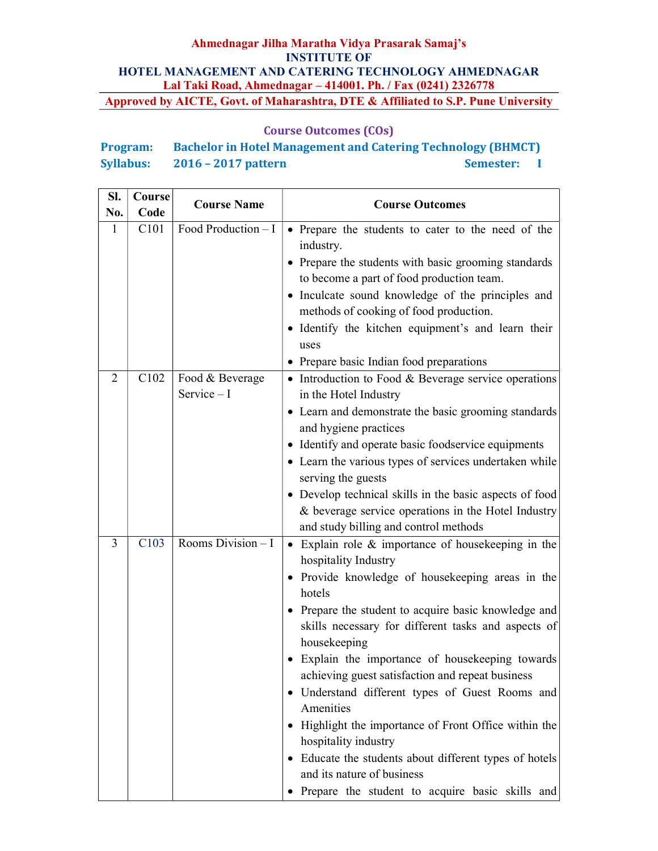### Course Outcomes (COs)

# Program: Bachelor in Hotel Management and Catering Technology (BHMCT) Syllabus: 2016 – 2017 pattern Semester: I

| Sl.            | Course | <b>Course Name</b>              | <b>Course Outcomes</b>                                                                                                                                                                                                                                                                                                                                                                                                                                                                                                                                                                                                                                                                   |  |
|----------------|--------|---------------------------------|------------------------------------------------------------------------------------------------------------------------------------------------------------------------------------------------------------------------------------------------------------------------------------------------------------------------------------------------------------------------------------------------------------------------------------------------------------------------------------------------------------------------------------------------------------------------------------------------------------------------------------------------------------------------------------------|--|
| No.            | Code   |                                 |                                                                                                                                                                                                                                                                                                                                                                                                                                                                                                                                                                                                                                                                                          |  |
| 1              | C101   | Food Production $-I$            | • Prepare the students to cater to the need of the<br>industry.<br>• Prepare the students with basic grooming standards<br>to become a part of food production team.<br>• Inculcate sound knowledge of the principles and<br>methods of cooking of food production.<br>· Identify the kitchen equipment's and learn their<br>uses<br>• Prepare basic Indian food preparations                                                                                                                                                                                                                                                                                                            |  |
| $\overline{2}$ | C102   | Food & Beverage<br>Service $-I$ | • Introduction to Food & Beverage service operations<br>in the Hotel Industry<br>• Learn and demonstrate the basic grooming standards<br>and hygiene practices<br>• Identify and operate basic foodservice equipments<br>• Learn the various types of services undertaken while<br>serving the guests<br>• Develop technical skills in the basic aspects of food<br>& beverage service operations in the Hotel Industry<br>and study billing and control methods                                                                                                                                                                                                                         |  |
| 3              | C103   | Rooms Division $\overline{-1}$  | Explain role $\&$ importance of house keeping in the<br>hospitality Industry<br>• Provide knowledge of housekeeping areas in the<br>hotels<br>• Prepare the student to acquire basic knowledge and<br>skills necessary for different tasks and aspects of<br>housekeeping<br>Explain the importance of housekeeping towards<br>achieving guest satisfaction and repeat business<br>· Understand different types of Guest Rooms and<br>Amenities<br>Highlight the importance of Front Office within the<br>$\bullet$<br>hospitality industry<br>• Educate the students about different types of hotels<br>and its nature of business<br>· Prepare the student to acquire basic skills and |  |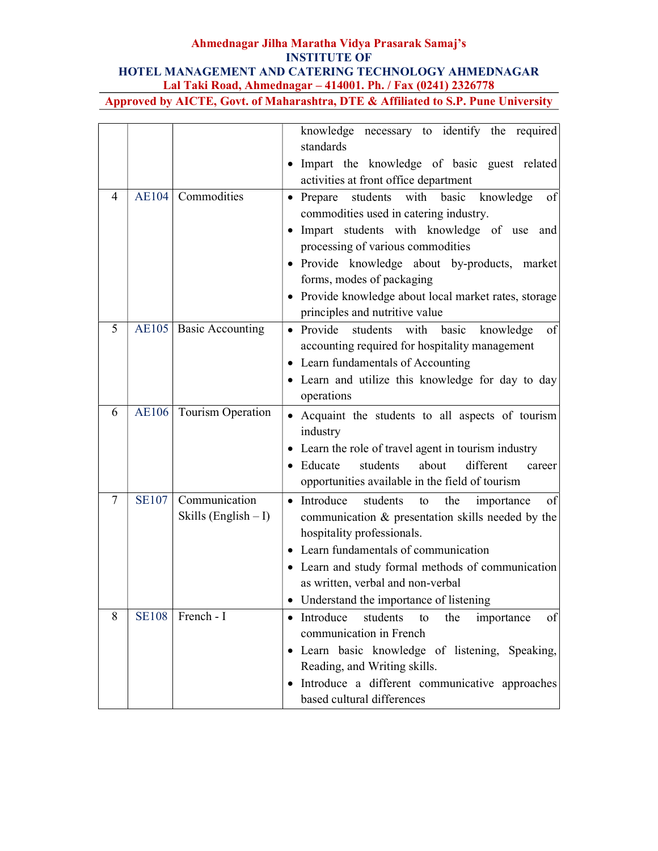|                |              |                          | knowledge necessary to identify the required<br>standards                              |
|----------------|--------------|--------------------------|----------------------------------------------------------------------------------------|
|                |              |                          | • Impart the knowledge of basic guest related                                          |
|                |              |                          | activities at front office department                                                  |
| 4              | <b>AE104</b> | Commodities              | students with basic<br>$\bullet$ Prepare<br>knowledge<br>of                            |
|                |              |                          | commodities used in catering industry.                                                 |
|                |              |                          | Impart students with knowledge of use and<br>processing of various commodities         |
|                |              |                          | · Provide knowledge about by-products, market                                          |
|                |              |                          | forms, modes of packaging                                                              |
|                |              |                          | • Provide knowledge about local market rates, storage                                  |
|                |              |                          | principles and nutritive value                                                         |
| 5              |              | AE105   Basic Accounting | • Provide<br>students with basic<br>knowledge<br>of                                    |
|                |              |                          | accounting required for hospitality management                                         |
|                |              |                          | • Learn fundamentals of Accounting                                                     |
|                |              |                          | • Learn and utilize this knowledge for day to day                                      |
|                |              |                          | operations                                                                             |
| 6              | <b>AE106</b> | Tourism Operation        | • Acquaint the students to all aspects of tourism                                      |
|                |              |                          | industry                                                                               |
|                |              |                          | • Learn the role of travel agent in tourism industry                                   |
|                |              |                          | different<br>students<br>about<br>• Educate<br>career                                  |
|                |              |                          | opportunities available in the field of tourism                                        |
| $\overline{7}$ | <b>SE107</b> | Communication            | of<br>• Introduce<br>students<br>the<br>importance<br>to                               |
|                |              | Skills (English - I)     | communication & presentation skills needed by the                                      |
|                |              |                          | hospitality professionals.<br>• Learn fundamentals of communication                    |
|                |              |                          |                                                                                        |
|                |              |                          | • Learn and study formal methods of communication<br>as written, verbal and non-verbal |
|                |              |                          | • Understand the importance of listening                                               |
| 8              | <b>SE108</b> | French - I               | of<br>Introduce<br>students<br>the<br>to<br>importance                                 |
|                |              |                          | communication in French                                                                |
|                |              |                          | · Learn basic knowledge of listening, Speaking,                                        |
|                |              |                          | Reading, and Writing skills.                                                           |
|                |              |                          | Introduce a different communicative approaches                                         |
|                |              |                          | based cultural differences                                                             |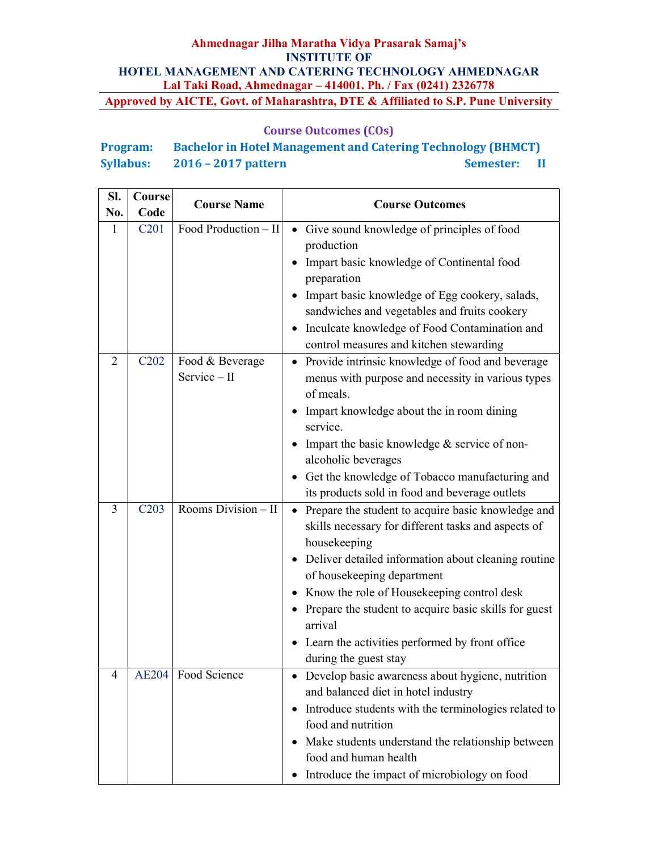## Course Outcomes (COs)

# Program: Bachelor in Hotel Management and Catering Technology (BHMCT) Syllabus: 2016 – 2017 pattern Semester: II

| SI. | Course                        | <b>Course Name</b>              | <b>Course Outcomes</b>                                                                                                    |  |
|-----|-------------------------------|---------------------------------|---------------------------------------------------------------------------------------------------------------------------|--|
| No. | Code                          | Food Production - II            |                                                                                                                           |  |
| 1   | C <sub>201</sub>              |                                 | Give sound knowledge of principles of food<br>$\bullet$<br>production<br>Impart basic knowledge of Continental food       |  |
|     |                               |                                 | preparation                                                                                                               |  |
|     |                               |                                 | Impart basic knowledge of Egg cookery, salads,<br>sandwiches and vegetables and fruits cookery                            |  |
|     |                               |                                 | Inculcate knowledge of Food Contamination and<br>$\bullet$                                                                |  |
|     |                               |                                 | control measures and kitchen stewarding                                                                                   |  |
| 2   | C <sub>2</sub> 0 <sub>2</sub> | Food & Beverage<br>Service - II | Provide intrinsic knowledge of food and beverage<br>menus with purpose and necessity in various types<br>of meals.        |  |
|     |                               |                                 | Impart knowledge about the in room dining<br>$\bullet$<br>service.                                                        |  |
|     |                               |                                 | Impart the basic knowledge & service of non-<br>alcoholic beverages                                                       |  |
|     |                               |                                 | • Get the knowledge of Tobacco manufacturing and<br>its products sold in food and beverage outlets                        |  |
| 3   | C203                          | Rooms Division - II             | Prepare the student to acquire basic knowledge and<br>skills necessary for different tasks and aspects of<br>housekeeping |  |
|     |                               |                                 | Deliver detailed information about cleaning routine<br>$\bullet$<br>of housekeeping department                            |  |
|     |                               |                                 | Know the role of Housekeeping control desk                                                                                |  |
|     |                               |                                 | Prepare the student to acquire basic skills for guest<br>arrival                                                          |  |
|     |                               |                                 | Learn the activities performed by front office<br>during the guest stay                                                   |  |
| 4   | <b>AE204</b>                  | Food Science                    | • Develop basic awareness about hygiene, nutrition<br>and balanced diet in hotel industry                                 |  |
|     |                               |                                 | Introduce students with the terminologies related to<br>$\bullet$<br>food and nutrition                                   |  |
|     |                               |                                 | Make students understand the relationship between                                                                         |  |
|     |                               |                                 | food and human health<br>Introduce the impact of microbiology on food<br>$\bullet$                                        |  |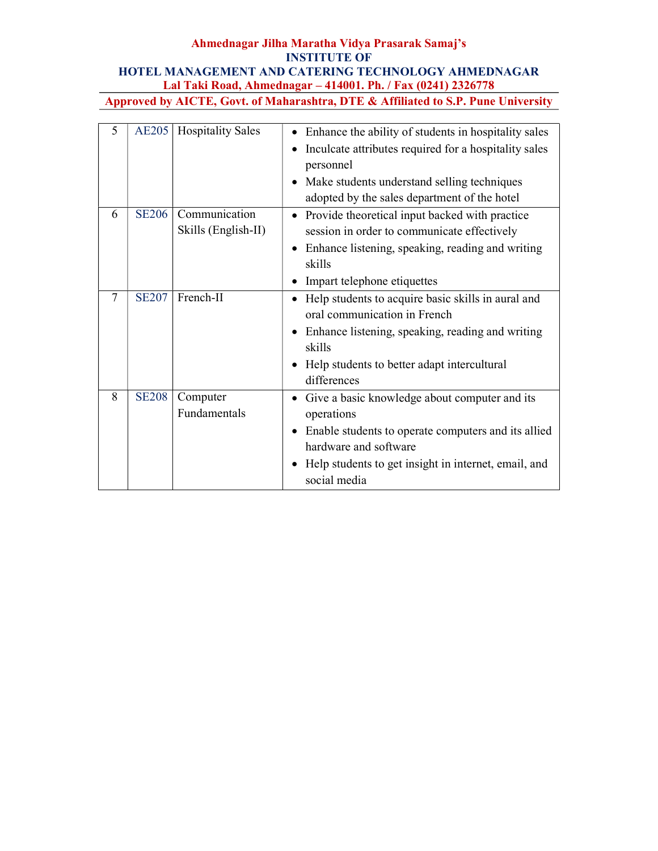| 5      | <b>AE205</b> | <b>Hospitality Sales</b>             | Enhance the ability of students in hospitality sales<br>$\bullet$<br>Inculcate attributes required for a hospitality sales<br>personnel<br>Make students understand selling techniques<br>$\bullet$<br>adopted by the sales department of the hotel |
|--------|--------------|--------------------------------------|-----------------------------------------------------------------------------------------------------------------------------------------------------------------------------------------------------------------------------------------------------|
| 6      | <b>SE206</b> | Communication<br>Skills (English-II) | Provide theoretical input backed with practice<br>session in order to communicate effectively<br>Enhance listening, speaking, reading and writing<br>skills<br>Impart telephone etiquettes                                                          |
| $\tau$ | <b>SE207</b> | French-II                            | Help students to acquire basic skills in aural and<br>oral communication in French<br>Enhance listening, speaking, reading and writing<br>$\bullet$<br>skills<br>Help students to better adapt intercultural<br>differences                         |
| 8      | <b>SE208</b> | Computer<br>Fundamentals             | Give a basic knowledge about computer and its<br>operations<br>Enable students to operate computers and its allied<br>hardware and software<br>Help students to get insight in internet, email, and<br>$\bullet$<br>social media                    |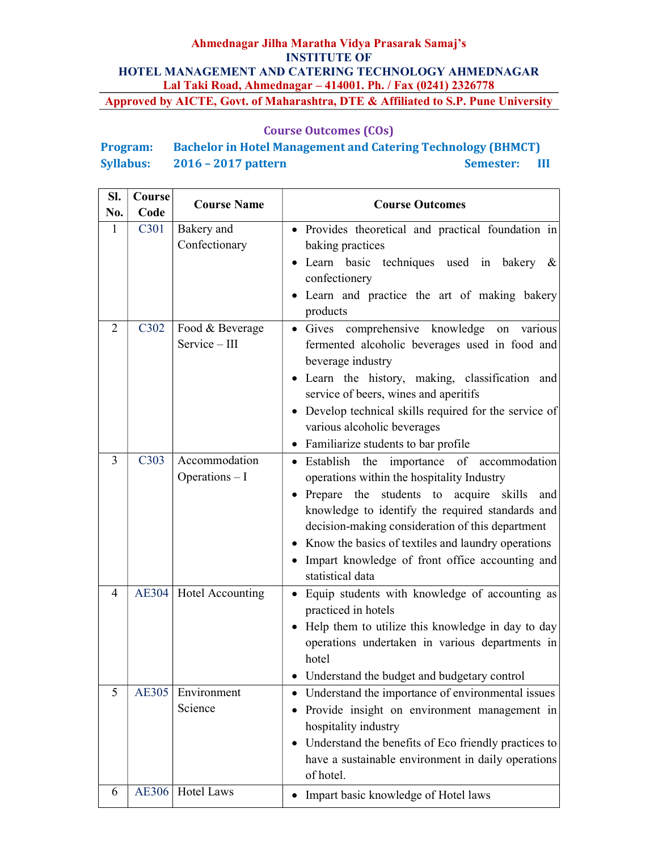## Course Outcomes (COs)

# Program: Bachelor in Hotel Management and Catering Technology (BHMCT) Syllabus: 2016 – 2017 pattern Semester: III

| Sl.            | Course                        | <b>Course Name</b>                         | <b>Course Outcomes</b>                                                                                                                                                                                                                                                                                                                                                                                               |
|----------------|-------------------------------|--------------------------------------------|----------------------------------------------------------------------------------------------------------------------------------------------------------------------------------------------------------------------------------------------------------------------------------------------------------------------------------------------------------------------------------------------------------------------|
| No.            | Code                          |                                            |                                                                                                                                                                                                                                                                                                                                                                                                                      |
| 1              | C301                          | Bakery and<br>Confectionary                | • Provides theoretical and practical foundation in<br>baking practices<br>• Learn basic techniques used in bakery<br>&<br>confectionery<br>• Learn and practice the art of making bakery<br>products                                                                                                                                                                                                                 |
| 2              | C302                          | Food & Beverage<br>Service - III           | • Gives comprehensive knowledge on various<br>fermented alcoholic beverages used in food and<br>beverage industry<br>• Learn the history, making, classification and<br>service of beers, wines and aperitifs<br>• Develop technical skills required for the service of<br>various alcoholic beverages<br>• Familiarize students to bar profile                                                                      |
| $\overline{3}$ | C <sub>3</sub> 0 <sub>3</sub> | Accommodation<br>Operations - I            | • Establish<br>the<br>importance<br>of accommodation<br>operations within the hospitality Industry<br>• Prepare the students to acquire skills<br>and<br>knowledge to identify the required standards and<br>decision-making consideration of this department<br>Know the basics of textiles and laundry operations<br>$\bullet$<br>Impart knowledge of front office accounting and<br>$\bullet$<br>statistical data |
| 4              |                               | AE304   Hotel Accounting                   | Equip students with knowledge of accounting as<br>$\bullet$<br>practiced in hotels<br>• Help them to utilize this knowledge in day to day<br>operations undertaken in various departments in<br>hotel<br>Understand the budget and budgetary control                                                                                                                                                                 |
| 5<br>6         | <b>AE305</b>                  | Environment<br>Science<br>AE306 Hotel Laws | Understand the importance of environmental issues<br>$\bullet$<br>Provide insight on environment management in<br>٠<br>hospitality industry<br>Understand the benefits of Eco friendly practices to<br>$\bullet$<br>have a sustainable environment in daily operations<br>of hotel.                                                                                                                                  |
|                |                               |                                            | Impart basic knowledge of Hotel laws<br>$\bullet$                                                                                                                                                                                                                                                                                                                                                                    |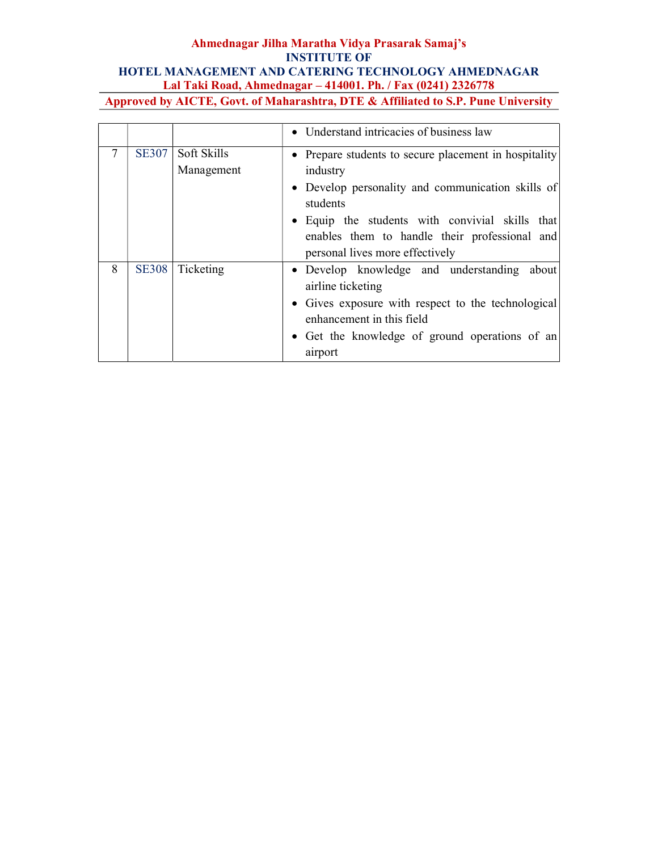|   |              |                           | • Understand intricacies of business law                                                                                                                                                                                                                                  |
|---|--------------|---------------------------|---------------------------------------------------------------------------------------------------------------------------------------------------------------------------------------------------------------------------------------------------------------------------|
| 7 | <b>SE307</b> | Soft Skills<br>Management | • Prepare students to secure placement in hospitality<br>industry<br>• Develop personality and communication skills of<br>students<br>• Equip the students with convivial skills that<br>enables them to handle their professional and<br>personal lives more effectively |
| 8 | <b>SE308</b> | Ticketing                 | • Develop knowledge and understanding about<br>airline ticketing<br>• Gives exposure with respect to the technological<br>enhancement in this field<br>• Get the knowledge of ground operations of an<br>airport                                                          |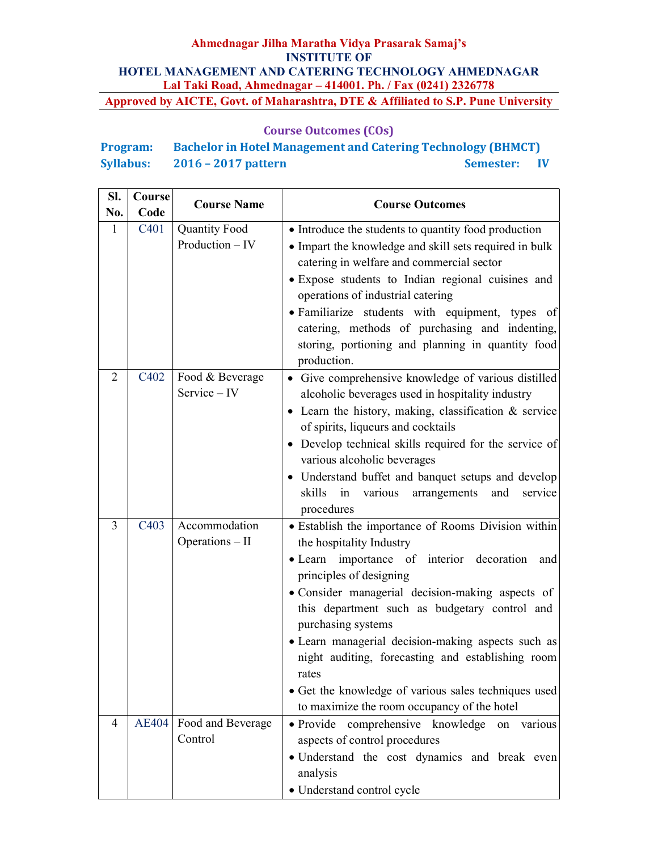## Course Outcomes (COs)

| <b>Program:</b>  | <b>Bachelor in Hotel Management and Catering Technology (BHMCT)</b> |              |  |
|------------------|---------------------------------------------------------------------|--------------|--|
| <b>Syllabus:</b> | $2016 - 2017$ pattern                                               | Semester: IV |  |

| SI.<br>No.     | Course<br>Code | <b>Course Name</b>   | <b>Course Outcomes</b>                                                                                                                                 |  |
|----------------|----------------|----------------------|--------------------------------------------------------------------------------------------------------------------------------------------------------|--|
| 1              | C401           | <b>Quantity Food</b> | • Introduce the students to quantity food production                                                                                                   |  |
|                |                | Production $-$ IV    | • Impart the knowledge and skill sets required in bulk<br>catering in welfare and commercial sector                                                    |  |
|                |                |                      | · Expose students to Indian regional cuisines and                                                                                                      |  |
|                |                |                      | operations of industrial catering                                                                                                                      |  |
|                |                |                      | • Familiarize students with equipment, types of<br>catering, methods of purchasing and indenting,<br>storing, portioning and planning in quantity food |  |
| $\overline{2}$ | C402           | Food & Beverage      | production.<br>• Give comprehensive knowledge of various distilled                                                                                     |  |
|                |                | Service - IV         | alcoholic beverages used in hospitality industry                                                                                                       |  |
|                |                |                      | • Learn the history, making, classification $&$ service                                                                                                |  |
|                |                |                      | of spirits, liqueurs and cocktails                                                                                                                     |  |
|                |                |                      | • Develop technical skills required for the service of                                                                                                 |  |
|                |                |                      | various alcoholic beverages                                                                                                                            |  |
|                |                |                      | • Understand buffet and banquet setups and develop<br>skills in<br>various<br>arrangements<br>and<br>service                                           |  |
|                |                |                      | procedures                                                                                                                                             |  |
| 3              | C403           | Accommodation        | • Establish the importance of Rooms Division within                                                                                                    |  |
|                |                | Operations - II      | the hospitality Industry                                                                                                                               |  |
|                |                |                      | • Learn importance of interior decoration<br>and<br>principles of designing                                                                            |  |
|                |                |                      | • Consider managerial decision-making aspects of                                                                                                       |  |
|                |                |                      | this department such as budgetary control and                                                                                                          |  |
|                |                |                      | purchasing systems                                                                                                                                     |  |
|                |                |                      | · Learn managerial decision-making aspects such as                                                                                                     |  |
|                |                |                      | night auditing, forecasting and establishing room<br>rates                                                                                             |  |
|                |                |                      | • Get the knowledge of various sales techniques used                                                                                                   |  |
|                |                |                      | to maximize the room occupancy of the hotel                                                                                                            |  |
| $\overline{4}$ | <b>AE404</b>   | Food and Beverage    | · Provide comprehensive knowledge<br>various<br>on                                                                                                     |  |
|                |                | Control              | aspects of control procedures                                                                                                                          |  |
|                |                |                      | • Understand the cost dynamics and break even<br>analysis                                                                                              |  |
|                |                |                      | • Understand control cycle                                                                                                                             |  |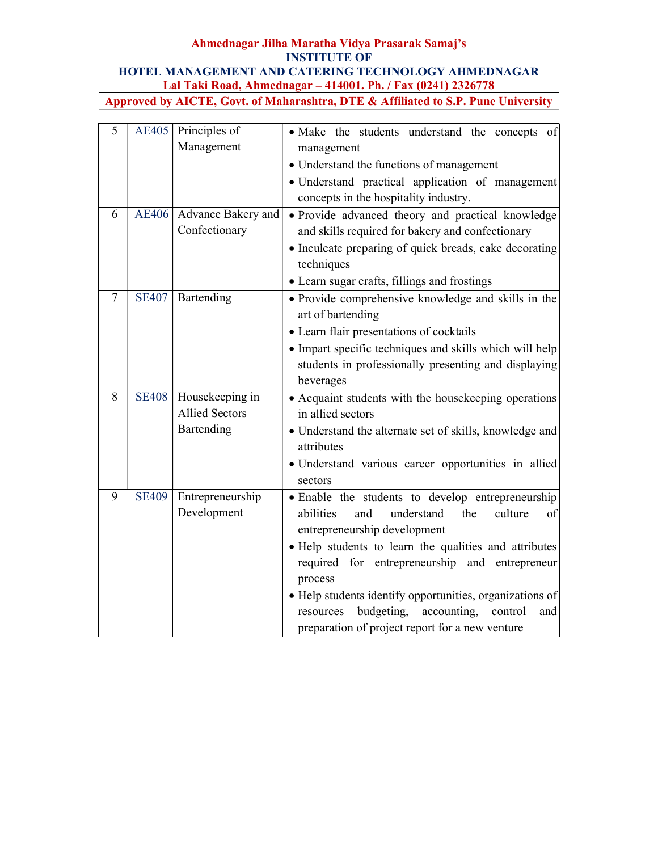| 5      | AE405        | Principles of         | · Make the students understand the concepts of                        |
|--------|--------------|-----------------------|-----------------------------------------------------------------------|
|        |              | Management            | management                                                            |
|        |              |                       | • Understand the functions of management                              |
|        |              |                       | · Understand practical application of management                      |
|        |              |                       | concepts in the hospitality industry.                                 |
| 6      | <b>AE406</b> | Advance Bakery and    | · Provide advanced theory and practical knowledge                     |
|        |              | Confectionary         | and skills required for bakery and confectionary                      |
|        |              |                       | • Inculcate preparing of quick breads, cake decorating<br>techniques  |
|        |              |                       | • Learn sugar crafts, fillings and frostings                          |
| $\tau$ | <b>SE407</b> | Bartending            | • Provide comprehensive knowledge and skills in the                   |
|        |              |                       | art of bartending                                                     |
|        |              |                       | • Learn flair presentations of cocktails                              |
|        |              |                       | • Impart specific techniques and skills which will help               |
|        |              |                       | students in professionally presenting and displaying                  |
|        |              |                       | beverages                                                             |
| 8      | <b>SE408</b> | Housekeeping in       | • Acquaint students with the housekeeping operations                  |
|        |              | <b>Allied Sectors</b> | in allied sectors                                                     |
|        |              | Bartending            | • Understand the alternate set of skills, knowledge and<br>attributes |
|        |              |                       | · Understand various career opportunities in allied                   |
|        |              |                       | sectors                                                               |
| 9      | <b>SE409</b> | Entrepreneurship      | · Enable the students to develop entrepreneurship                     |
|        |              | Development           | abilities<br>and<br>understand<br>the<br>culture<br>οf                |
|        |              |                       | entrepreneurship development                                          |
|        |              |                       | · Help students to learn the qualities and attributes                 |
|        |              |                       | required for entrepreneurship and entrepreneur                        |
|        |              |                       | process                                                               |
|        |              |                       | • Help students identify opportunities, organizations of              |
|        |              |                       | budgeting,<br>accounting, control<br>resources<br>and                 |
|        |              |                       | preparation of project report for a new venture                       |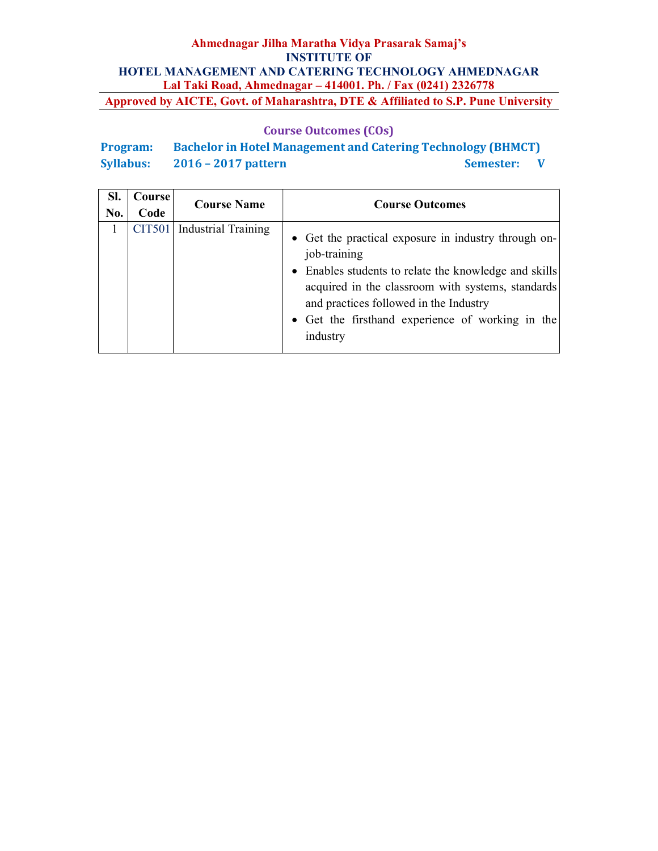## Course Outcomes (COs)

Program: Bachelor in Hotel Management and Catering Technology (BHMCT) Syllabus: 2016 – 2017 pattern Semester: V

| SI.<br>No. | Course<br>Code | <b>Course Name</b>         | <b>Course Outcomes</b>                                                                                                                                                                                                                                                                       |
|------------|----------------|----------------------------|----------------------------------------------------------------------------------------------------------------------------------------------------------------------------------------------------------------------------------------------------------------------------------------------|
|            | <b>CIT501</b>  | <b>Industrial Training</b> | • Get the practical exposure in industry through on-<br>job-training<br>• Enables students to relate the knowledge and skills<br>acquired in the classroom with systems, standards<br>and practices followed in the Industry<br>• Get the firsthand experience of working in the<br>industry |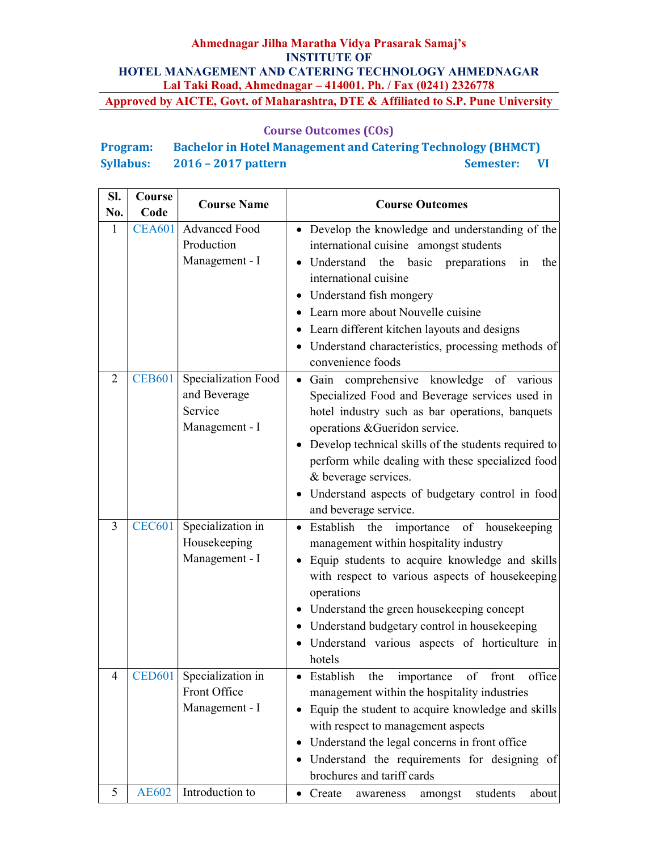## Course Outcomes (COs)

| <b>Program:</b>  | <b>Bachelor in Hotel Management and Catering Technology (BHMCT)</b> |                  |              |
|------------------|---------------------------------------------------------------------|------------------|--------------|
| <b>Syllabus:</b> | $2016 - 2017$ pattern                                               | <b>Semester:</b> | $\mathbf{V}$ |

| SI. | Course        | <b>Course Name</b>                                               | <b>Course Outcomes</b>                                                                                                                                                                                                                                                                                                                                                                                           |  |
|-----|---------------|------------------------------------------------------------------|------------------------------------------------------------------------------------------------------------------------------------------------------------------------------------------------------------------------------------------------------------------------------------------------------------------------------------------------------------------------------------------------------------------|--|
| No. | Code          |                                                                  |                                                                                                                                                                                                                                                                                                                                                                                                                  |  |
| 1   | <b>CEA601</b> | Advanced Food<br>Production<br>Management - I                    | • Develop the knowledge and understanding of the<br>international cuisine amongst students<br>• Understand the basic preparations<br>in<br>the<br>international cuisine<br>• Understand fish mongery<br>• Learn more about Nouvelle cuisine<br>• Learn different kitchen layouts and designs<br>• Understand characteristics, processing methods of                                                              |  |
|     |               |                                                                  | convenience foods                                                                                                                                                                                                                                                                                                                                                                                                |  |
| 2   | <b>CEB601</b> | Specialization Food<br>and Beverage<br>Service<br>Management - I | Gain comprehensive knowledge of various<br>$\bullet$<br>Specialized Food and Beverage services used in<br>hotel industry such as bar operations, banquets<br>operations & Gueridon service.<br>• Develop technical skills of the students required to<br>perform while dealing with these specialized food<br>& beverage services.<br>• Understand aspects of budgetary control in food<br>and beverage service. |  |
| 3   | <b>CEC601</b> | Specialization in<br>Housekeeping<br>Management - I              | Establish<br>the<br>importance of<br>housekeeping<br>٠<br>management within hospitality industry<br>Equip students to acquire knowledge and skills<br>$\bullet$<br>with respect to various aspects of housekeeping<br>operations<br>• Understand the green housekeeping concept<br>• Understand budgetary control in housekeeping<br>· Understand various aspects of horticulture in<br>hotels                   |  |
| 4   | <b>CED601</b> | Specialization in<br>Front Office<br>Management - I              | Establish<br>the<br>importance<br>of front<br>office<br>management within the hospitality industries<br>Equip the student to acquire knowledge and skills<br>$\bullet$<br>with respect to management aspects<br>Understand the legal concerns in front office<br>$\bullet$<br>Understand the requirements for designing of<br>$\bullet$<br>brochures and tariff cards                                            |  |
| 5   | <b>AE602</b>  | Introduction to                                                  | students<br>• Create<br>about<br>amongst<br>awareness                                                                                                                                                                                                                                                                                                                                                            |  |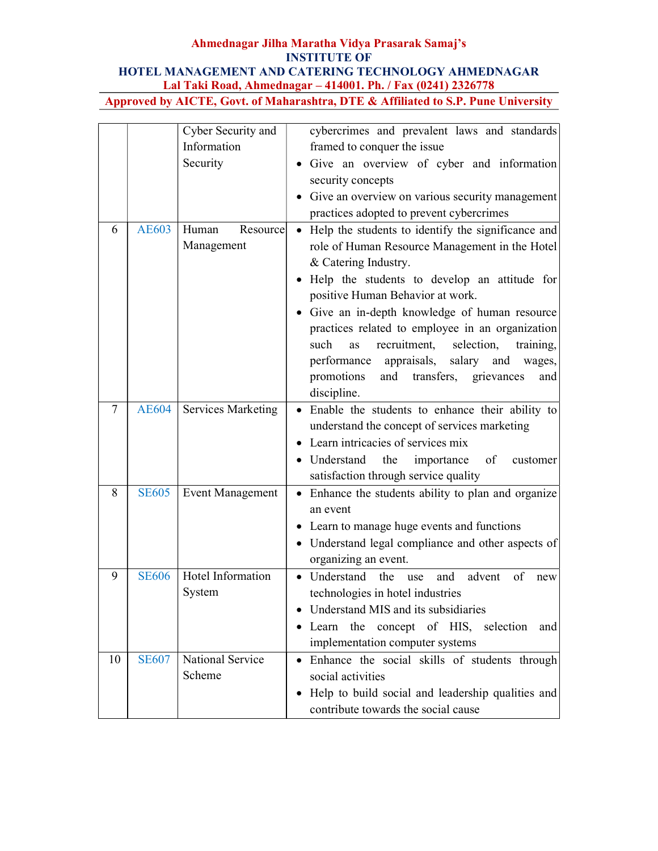|        |              | Cyber Security and        | cybercrimes and prevalent laws and standards                    |
|--------|--------------|---------------------------|-----------------------------------------------------------------|
|        |              | Information               | framed to conquer the issue                                     |
|        |              | Security                  | · Give an overview of cyber and information                     |
|        |              |                           | security concepts                                               |
|        |              |                           | • Give an overview on various security management               |
|        |              |                           | practices adopted to prevent cybercrimes                        |
| 6      | <b>AE603</b> | Resource<br>Human         | Help the students to identify the significance and<br>$\bullet$ |
|        |              | Management                | role of Human Resource Management in the Hotel                  |
|        |              |                           | & Catering Industry.                                            |
|        |              |                           | Help the students to develop an attitude for<br>$\bullet$       |
|        |              |                           | positive Human Behavior at work.                                |
|        |              |                           | • Give an in-depth knowledge of human resource                  |
|        |              |                           | practices related to employee in an organization                |
|        |              |                           | such<br>recruitment,<br>selection,<br>training,<br>as           |
|        |              |                           | salary and<br>performance<br>appraisals,<br>wages,              |
|        |              |                           | promotions<br>and<br>transfers,<br>grievances<br>and            |
|        |              |                           | discipline.                                                     |
| $\tau$ | <b>AE604</b> | <b>Services Marketing</b> | Enable the students to enhance their ability to                 |
|        |              |                           | understand the concept of services marketing                    |
|        |              |                           | Learn intricacies of services mix                               |
|        |              |                           | • Understand the<br>importance<br>of<br>customer                |
|        |              |                           | satisfaction through service quality                            |
| 8      | <b>SE605</b> | <b>Event Management</b>   | Enhance the students ability to plan and organize               |
|        |              |                           | an event                                                        |
|        |              |                           | • Learn to manage huge events and functions                     |
|        |              |                           | • Understand legal compliance and other aspects of              |
|        |              |                           | organizing an event.                                            |
| 9      | <b>SE606</b> | Hotel Information         | Understand<br>the<br>advent<br>of<br>and<br>use<br>new          |
|        |              | System                    | technologies in hotel industries                                |
|        |              |                           | • Understand MIS and its subsidiaries                           |
|        |              |                           | • Learn the concept of HIS, selection<br>and                    |
|        |              |                           | implementation computer systems                                 |
| 10     | <b>SE607</b> | National Service          | • Enhance the social skills of students through                 |
|        |              | Scheme                    | social activities                                               |
|        |              |                           | • Help to build social and leadership qualities and             |
|        |              |                           | contribute towards the social cause                             |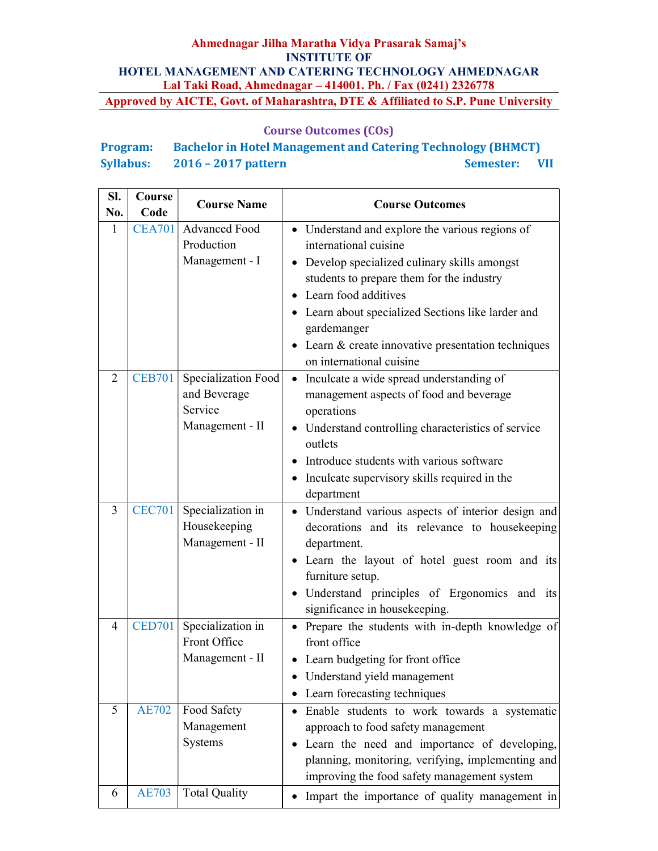## Course Outcomes (COs)

# Program: Bachelor in Hotel Management and Catering Technology (BHMCT) Syllabus: 2016 – 2017 pattern Semester: VII

| SI.<br>No.     | Course<br>Code | <b>Course Name</b>                                                | <b>Course Outcomes</b>                                                                                                                                                                                                                                                                                                                                              |
|----------------|----------------|-------------------------------------------------------------------|---------------------------------------------------------------------------------------------------------------------------------------------------------------------------------------------------------------------------------------------------------------------------------------------------------------------------------------------------------------------|
| 1              | <b>CEA701</b>  | Advanced Food<br>Production<br>Management - I                     | • Understand and explore the various regions of<br>international cuisine<br>• Develop specialized culinary skills amongst<br>students to prepare them for the industry<br>Learn food additives<br>$\bullet$<br>Learn about specialized Sections like larder and<br>gardemanger<br>• Learn $&$ create innovative presentation techniques<br>on international cuisine |
| 2              | <b>CEB701</b>  | Specialization Food<br>and Beverage<br>Service<br>Management - II | Inculcate a wide spread understanding of<br>$\bullet$<br>management aspects of food and beverage<br>operations<br>• Understand controlling characteristics of service<br>outlets<br>Introduce students with various software<br>$\bullet$<br>• Inculcate supervisory skills required in the<br>department                                                           |
| $\overline{3}$ | <b>CEC701</b>  | Specialization in<br>Housekeeping<br>Management - II              | · Understand various aspects of interior design and<br>decorations and its relevance to housekeeping<br>department.<br>• Learn the layout of hotel guest room and its<br>furniture setup.<br>• Understand principles of Ergonomics and its<br>significance in housekeeping.                                                                                         |
| $\overline{4}$ | <b>CED701</b>  | Specialization in<br>Front Office<br>Management - II              | Prepare the students with in-depth knowledge of<br>$\bullet$<br>front office<br>• Learn budgeting for front office<br>Understand yield management<br>Learn forecasting techniques<br>$\bullet$                                                                                                                                                                      |
| 5              | <b>AE702</b>   | Food Safety<br>Management<br>Systems                              | Enable students to work towards a systematic<br>approach to food safety management<br>Learn the need and importance of developing,<br>planning, monitoring, verifying, implementing and<br>improving the food safety management system                                                                                                                              |
| 6              | <b>AE703</b>   | <b>Total Quality</b>                                              | Impart the importance of quality management in                                                                                                                                                                                                                                                                                                                      |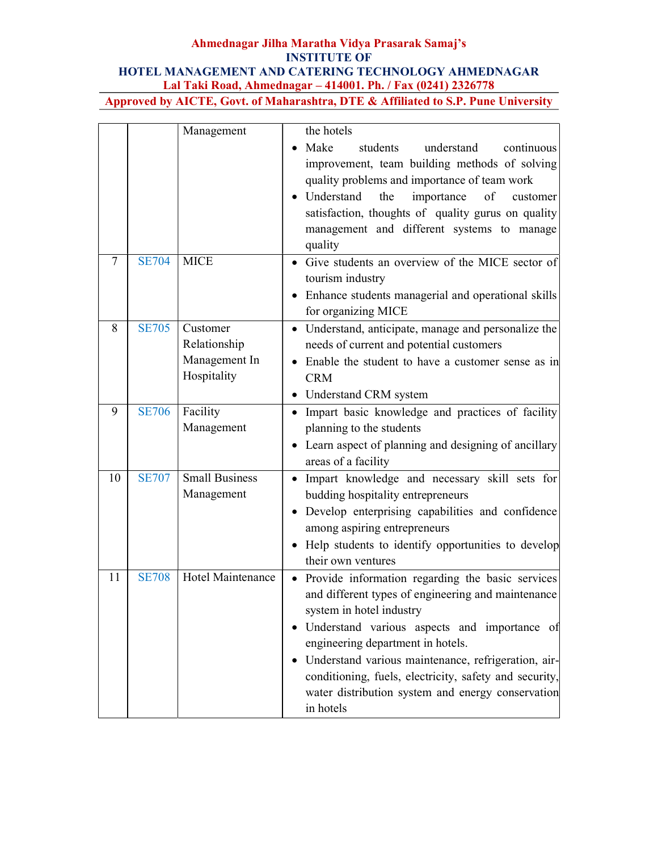|        |              | Management            | the hotels                                                       |
|--------|--------------|-----------------------|------------------------------------------------------------------|
|        |              |                       | Make<br>students<br>understand<br>continuous                     |
|        |              |                       | improvement, team building methods of solving                    |
|        |              |                       | quality problems and importance of team work                     |
|        |              |                       | Understand<br>the<br>importance<br>of<br>customer                |
|        |              |                       | satisfaction, thoughts of quality gurus on quality               |
|        |              |                       | management and different systems to manage                       |
|        |              |                       | quality                                                          |
| $\tau$ | <b>SE704</b> | <b>MICE</b>           | Give students an overview of the MICE sector of                  |
|        |              |                       | tourism industry                                                 |
|        |              |                       | Enhance students managerial and operational skills<br>$\bullet$  |
|        |              |                       | for organizing MICE                                              |
| 8      | <b>SE705</b> | Customer              | • Understand, anticipate, manage and personalize the             |
|        |              | Relationship          | needs of current and potential customers                         |
|        |              | Management In         | Enable the student to have a customer sense as in<br>$\bullet$   |
|        |              | Hospitality           | <b>CRM</b>                                                       |
|        |              |                       | Understand CRM system<br>$\bullet$                               |
| 9      | <b>SE706</b> | Facility              | Impart basic knowledge and practices of facility<br>$\bullet$    |
|        |              | Management            | planning to the students                                         |
|        |              |                       | Learn aspect of planning and designing of ancillary<br>$\bullet$ |
|        |              |                       | areas of a facility                                              |
| 10     | <b>SE707</b> | <b>Small Business</b> | Impart knowledge and necessary skill sets for<br>$\bullet$       |
|        |              | Management            | budding hospitality entrepreneurs                                |
|        |              |                       | Develop enterprising capabilities and confidence                 |
|        |              |                       | among aspiring entrepreneurs                                     |
|        |              |                       | Help students to identify opportunities to develop<br>$\bullet$  |
|        |              |                       | their own ventures                                               |
| 11     | <b>SE708</b> | Hotel Maintenance     | Provide information regarding the basic services                 |
|        |              |                       | and different types of engineering and maintenance               |
|        |              |                       | system in hotel industry                                         |
|        |              |                       | Understand various aspects and importance of<br>$\bullet$        |
|        |              |                       | engineering department in hotels.                                |
|        |              |                       | Understand various maintenance, refrigeration, air-              |
|        |              |                       | conditioning, fuels, electricity, safety and security,           |
|        |              |                       | water distribution system and energy conservation                |
|        |              |                       | in hotels                                                        |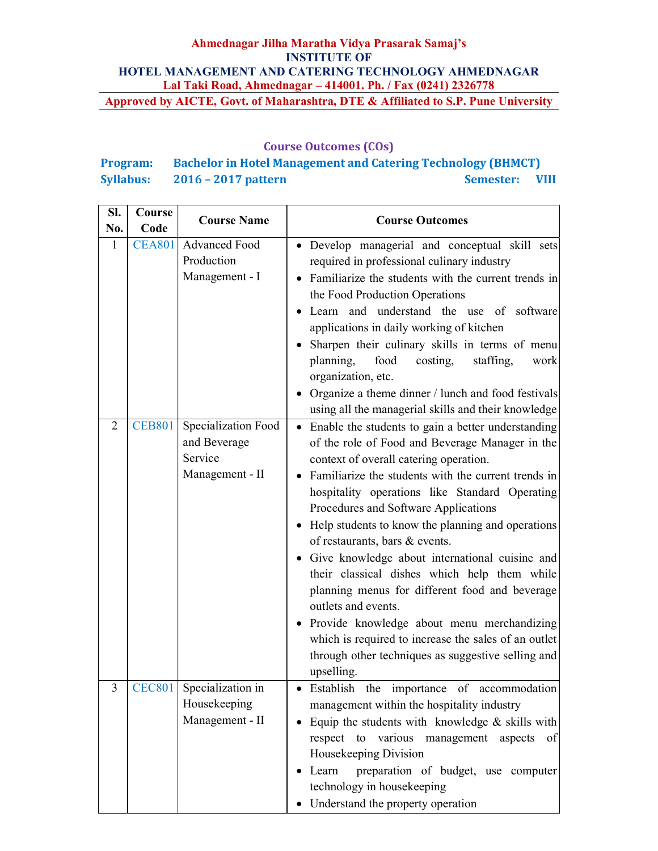### Course Outcomes (COs)

# Program: Bachelor in Hotel Management and Catering Technology (BHMCT) Syllabus: 2016 – 2017 pattern Semester: VIII

| SI.<br>No.     | Course<br>Code | <b>Course Name</b>                                                | <b>Course Outcomes</b>                                                                                                                                                                                                                                                                                                                                                                                                                                                                                                                                                                                                                                                                                                                                          |
|----------------|----------------|-------------------------------------------------------------------|-----------------------------------------------------------------------------------------------------------------------------------------------------------------------------------------------------------------------------------------------------------------------------------------------------------------------------------------------------------------------------------------------------------------------------------------------------------------------------------------------------------------------------------------------------------------------------------------------------------------------------------------------------------------------------------------------------------------------------------------------------------------|
| 1              | <b>CEA801</b>  | <b>Advanced Food</b><br>Production<br>Management - I              | • Develop managerial and conceptual skill sets<br>required in professional culinary industry<br>Familiarize the students with the current trends in<br>the Food Production Operations<br>Learn and understand the use of software<br>applications in daily working of kitchen<br>Sharpen their culinary skills in terms of menu<br>$\bullet$<br>planning,<br>food<br>costing,<br>staffing,<br>work<br>organization, etc.<br>Organize a theme dinner / lunch and food festivals<br>using all the managerial skills and their knowledge                                                                                                                                                                                                                           |
| $\overline{2}$ | <b>CEB801</b>  | Specialization Food<br>and Beverage<br>Service<br>Management - II | Enable the students to gain a better understanding<br>$\bullet$<br>of the role of Food and Beverage Manager in the<br>context of overall catering operation.<br>Familiarize the students with the current trends in<br>hospitality operations like Standard Operating<br>Procedures and Software Applications<br>• Help students to know the planning and operations<br>of restaurants, bars & events.<br>• Give knowledge about international cuisine and<br>their classical dishes which help them while<br>planning menus for different food and beverage<br>outlets and events.<br>• Provide knowledge about menu merchandizing<br>which is required to increase the sales of an outlet<br>through other techniques as suggestive selling and<br>upselling. |
|                |                | CEC801 Specialization in<br>Housekeeping<br>Management - II       | Establish the importance of accommodation<br>management within the hospitality industry<br>Equip the students with knowledge $\&$ skills with<br>$\bullet$<br>respect to various management aspects<br>of<br>Housekeeping Division<br>preparation of budget, use computer<br>Learn<br>technology in housekeeping<br>• Understand the property operation                                                                                                                                                                                                                                                                                                                                                                                                         |